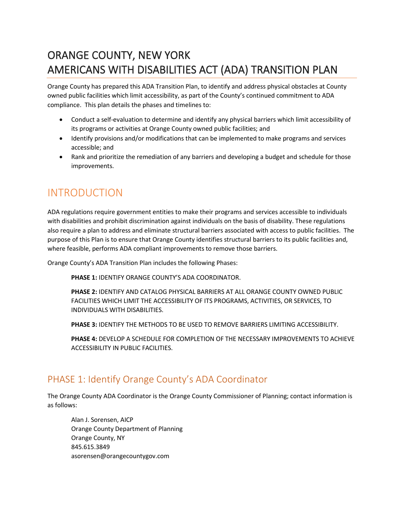# ORANGE COUNTY, NEW YORK AMERICANS WITH DISABILITIES ACT (ADA) TRANSITION PLAN

Orange County has prepared this ADA Transition Plan, to identify and address physical obstacles at County owned public facilities which limit accessibility, as part of the County's continued commitment to ADA compliance. This plan details the phases and timelines to:

- Conduct a self-evaluation to determine and identify any physical barriers which limit accessibility of its programs or activities at Orange County owned public facilities; and
- Identify provisions and/or modifications that can be implemented to make programs and services accessible; and
- Rank and prioritize the remediation of any barriers and developing a budget and schedule for those improvements.

#### INTRODUCTION

ADA regulations require government entities to make their programs and services accessible to individuals with disabilities and prohibit discrimination against individuals on the basis of disability. These regulations also require a plan to address and eliminate structural barriers associated with access to public facilities. The purpose of this Plan is to ensure that Orange County identifies structural barriers to its public facilities and, where feasible, performs ADA compliant improvements to remove those barriers.

Orange County's ADA Transition Plan includes the following Phases:

**PHASE 1:** IDENTIFY ORANGE COUNTY'S ADA COORDINATOR.

**PHASE 2:** IDENTIFY AND CATALOG PHYSICAL BARRIERS AT ALL ORANGE COUNTY OWNED PUBLIC FACILITIES WHICH LIMIT THE ACCESSIBILITY OF ITS PROGRAMS, ACTIVITIES, OR SERVICES, TO INDIVIDUALS WITH DISABILITIES.

**PHASE 3:** IDENTIFY THE METHODS TO BE USED TO REMOVE BARRIERS LIMITING ACCESSIBILITY.

**PHASE 4:** DEVELOP A SCHEDULE FOR COMPLETION OF THE NECESSARY IMPROVEMENTS TO ACHIEVE ACCESSIBILITY IN PUBLIC FACILITIES.

#### PHASE 1: Identify Orange County's ADA Coordinator

The Orange County ADA Coordinator is the Orange County Commissioner of Planning; contact information is as follows:

Alan J. Sorensen, AICP Orange County Department of Planning Orange County, NY 845.615.3849 asorensen@orangecountygov.com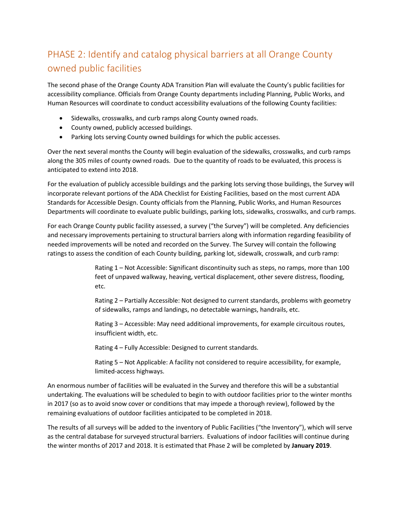# PHASE 2: Identify and catalog physical barriers at all Orange County owned public facilities

The second phase of the Orange County ADA Transition Plan will evaluate the County's public facilities for accessibility compliance. Officials from Orange County departments including Planning, Public Works, and Human Resources will coordinate to conduct accessibility evaluations of the following County facilities:

- Sidewalks, crosswalks, and curb ramps along County owned roads.
- County owned, publicly accessed buildings.
- Parking lots serving County owned buildings for which the public accesses.

Over the next several months the County will begin evaluation of the sidewalks, crosswalks, and curb ramps along the 305 miles of county owned roads. Due to the quantity of roads to be evaluated, this process is anticipated to extend into 2018.

For the evaluation of publicly accessible buildings and the parking lots serving those buildings, the Survey will incorporate relevant portions of the ADA Checklist for Existing Facilities, based on the most current ADA Standards for Accessible Design. County officials from the Planning, Public Works, and Human Resources Departments will coordinate to evaluate public buildings, parking lots, sidewalks, crosswalks, and curb ramps.

For each Orange County public facility assessed, a survey ("the Survey") will be completed. Any deficiencies and necessary improvements pertaining to structural barriers along with information regarding feasibility of needed improvements will be noted and recorded on the Survey. The Survey will contain the following ratings to assess the condition of each County building, parking lot, sidewalk, crosswalk, and curb ramp:

> Rating 1 – Not Accessible: Significant discontinuity such as steps, no ramps, more than 100 feet of unpaved walkway, heaving, vertical displacement, other severe distress, flooding, etc.

> Rating 2 – Partially Accessible: Not designed to current standards, problems with geometry of sidewalks, ramps and landings, no detectable warnings, handrails, etc.

Rating 3 – Accessible: May need additional improvements, for example circuitous routes, insufficient width, etc.

Rating 4 – Fully Accessible: Designed to current standards.

Rating 5 – Not Applicable: A facility not considered to require accessibility, for example, limited-access highways.

An enormous number of facilities will be evaluated in the Survey and therefore this will be a substantial undertaking. The evaluations will be scheduled to begin to with outdoor facilities prior to the winter months in 2017 (so as to avoid snow cover or conditions that may impede a thorough review), followed by the remaining evaluations of outdoor facilities anticipated to be completed in 2018.

The results of all surveys will be added to the inventory of Public Facilities ("the Inventory"), which will serve as the central database for surveyed structural barriers. Evaluations of indoor facilities will continue during the winter months of 2017 and 2018. It is estimated that Phase 2 will be completed by **January 2019**.